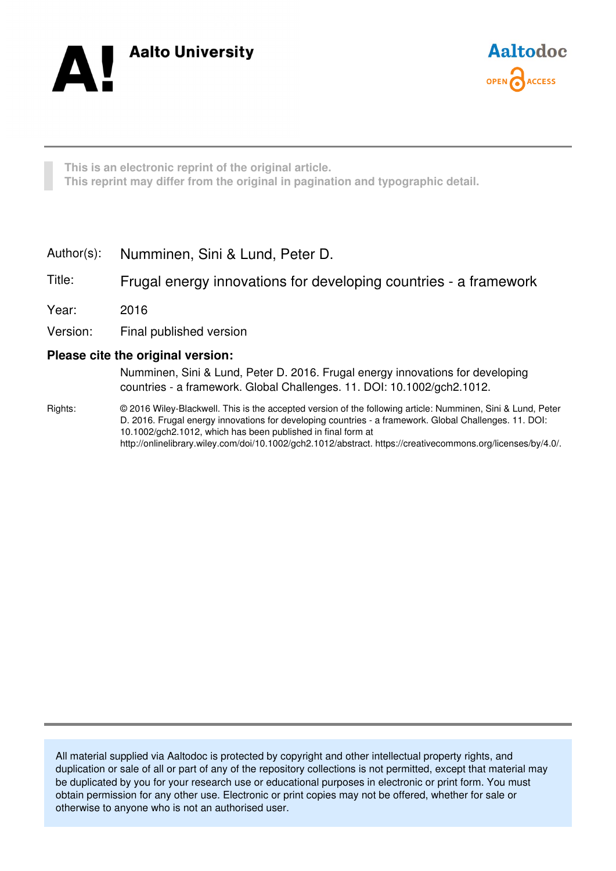



**This is an electronic reprint of the original article. This reprint may differ from the original in pagination and typographic detail.**

Author(s): Numminen, Sini & Lund, Peter D.

# Title: Frugal energy innovations for developing countries - a framework

Year: 2016

Version: Final published version

# **Please cite the original version:**

Numminen, Sini & Lund, Peter D. 2016. Frugal energy innovations for developing countries - a framework. Global Challenges. 11. DOI: 10.1002/gch2.1012.

Rights: © 2016 Wiley-Blackwell. This is the accepted version of the following article: Numminen, Sini & Lund, Peter D. 2016. Frugal energy innovations for developing countries - a framework. Global Challenges. 11. DOI: 10.1002/gch2.1012, which has been published in final form at http://onlinelibrary.wiley.com/doi/10.1002/gch2.1012/abstract. https://creativecommons.org/licenses/by/4.0/.

All material supplied via Aaltodoc is protected by copyright and other intellectual property rights, and duplication or sale of all or part of any of the repository collections is not permitted, except that material may be duplicated by you for your research use or educational purposes in electronic or print form. You must obtain permission for any other use. Electronic or print copies may not be offered, whether for sale or otherwise to anyone who is not an authorised user.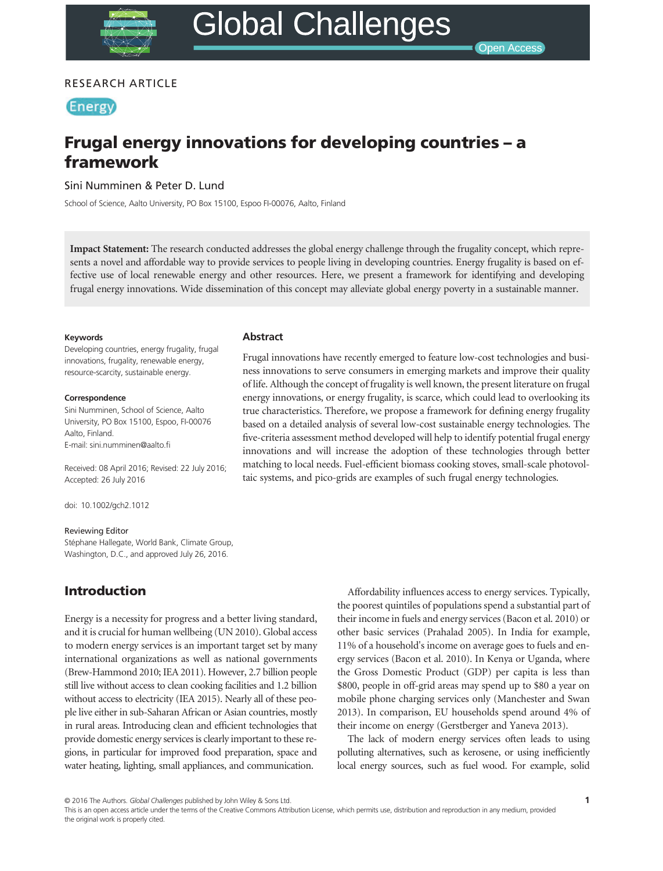#### RESEARCH ARTICLE

**Energy** 

# Frugal energy innovations for developing countries – a framework

Abstract

Sini Numminen & Peter D. Lund

School of Science, Aalto University, PO Box 15100, Espoo FI-00076, Aalto, Finland

Impact Statement: The research conducted addresses the global energy challenge through the frugality concept, which represents a novel and affordable way to provide services to people living in developing countries. Energy frugality is based on effective use of local renewable energy and other resources. Here, we present a framework for identifying and developing frugal energy innovations. Wide dissemination of this concept may alleviate global energy poverty in a sustainable manner.

#### Keywords

Developing countries, energy frugality, frugal innovations, frugality, renewable energy, resource-scarcity, sustainable energy.

#### **Correspondence**

Sini Numminen, School of Science, Aalto University, PO Box 15100, Espoo, FI-00076 Aalto, Finland. E-mail: sini.numminen@aalto.fi

Received: 08 April 2016; Revised: 22 July 2016; Accepted: 26 July 2016

doi: 10.1002/gch2.1012

#### Reviewing Editor

Stéphane Hallegate, World Bank, Climate Group, Washington, D.C., and approved July 26, 2016.

### Introduction

Energy is a necessity for progress and a better living standard, and it is crucial for human wellbeing (UN 2010). Global access to modern energy services is an important target set by many international organizations as well as national governments (Brew-Hammond 2010; IEA 2011). However, 2.7 billion people still live without access to clean cooking facilities and 1.2 billion without access to electricity (IEA 2015). Nearly all of these people live either in sub-Saharan African or Asian countries, mostly in rural areas. Introducing clean and efficient technologies that provide domestic energy services is clearly important to these regions, in particular for improved food preparation, space and water heating, lighting, small appliances, and communication.

Frugal innovations have recently emerged to feature low-cost technologies and business innovations to serve consumers in emerging markets and improve their quality of life. Although the concept of frugality is well known, the present literature on frugal energy innovations, or energy frugality, is scarce, which could lead to overlooking its true characteristics. Therefore, we propose a framework for defining energy frugality based on a detailed analysis of several low-cost sustainable energy technologies. The five-criteria assessment method developed will help to identify potential frugal energy innovations and will increase the adoption of these technologies through better

matching to local needs. Fuel-efficient biomass cooking stoves, small-scale photovoltaic systems, and pico-grids are examples of such frugal energy technologies.

> Affordability influences access to energy services. Typically, the poorest quintiles of populations spend a substantial part of their income in fuels and energy services (Bacon et al. 2010) or other basic services (Prahalad 2005). In India for example, 11% of a household's income on average goes to fuels and energy services (Bacon et al. 2010). In Kenya or Uganda, where the Gross Domestic Product (GDP) per capita is less than \$800, people in off-grid areas may spend up to \$80 a year on mobile phone charging services only (Manchester and Swan 2013). In comparison, EU households spend around 4% of their income on energy (Gerstberger and Yaneva 2013).

> The lack of modern energy services often leads to using polluting alternatives, such as kerosene, or using inefficiently local energy sources, such as fuel wood. For example, solid

© 2016 The Authors. *Global Challenges* published by John Wiley & Sons Ltd.<br>This is an open access article under the terms of the [Creative Commons Attribution](http://creativecommons.org/licenses/by/4.0/) License, which permits use, distribution and reproduction in an the original work is properly cited.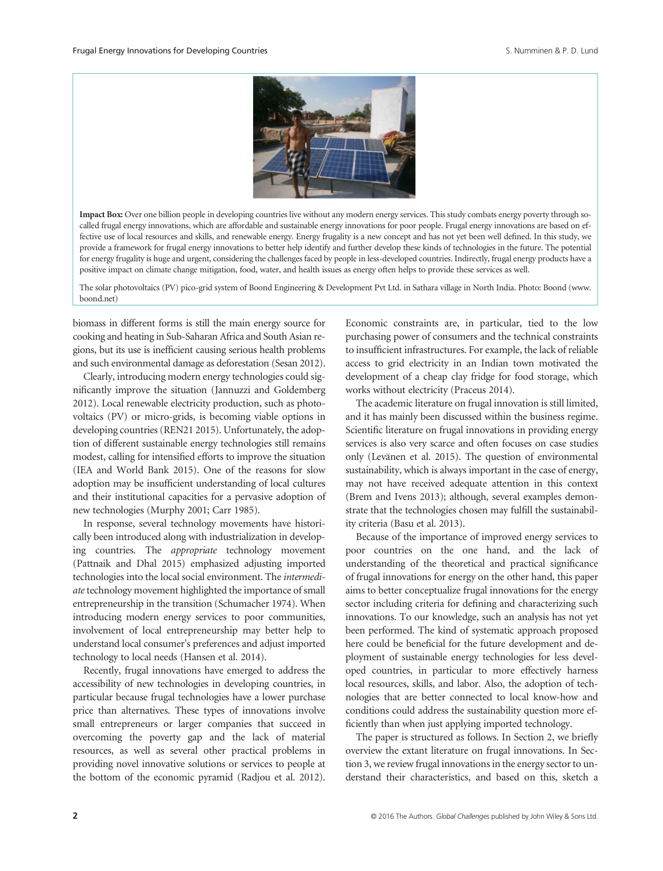

Impact Box: Over one billion people in developing countries live without any modern energy services. This study combats energy poverty through socalled frugal energy innovations, which are affordable and sustainable energy innovations for poor people. Frugal energy innovations are based on effective use of local resources and skills, and renewable energy. Energy frugality is a new concept and has not yet been well defined. In this study, we provide a framework for frugal energy innovations to better help identify and further develop these kinds of technologies in the future. The potential for energy frugality is huge and urgent, considering the challenges faced by people in less-developed countries. Indirectly, frugal energy products have a positive impact on climate change mitigation, food, water, and health issues as energy often helps to provide these services as well.

The solar photovoltaics (PV) pico-grid system of Boond Engineering & Development Pvt Ltd. in Sathara village in North India. Photo: Boond (www. boond.net)

biomass in different forms is still the main energy source for cooking and heating in Sub-Saharan Africa and South Asian regions, but its use is inefficient causing serious health problems and such environmental damage as deforestation (Sesan 2012).

Clearly, introducing modern energy technologies could significantly improve the situation (Jannuzzi and Goldemberg 2012). Local renewable electricity production, such as photovoltaics (PV) or micro-grids, is becoming viable options in developing countries (REN21 2015). Unfortunately, the adoption of different sustainable energy technologies still remains modest, calling for intensified efforts to improve the situation (IEA and World Bank 2015). One of the reasons for slow adoption may be insufficient understanding of local cultures and their institutional capacities for a pervasive adoption of new technologies (Murphy 2001; Carr 1985).

In response, several technology movements have historically been introduced along with industrialization in developing countries. The appropriate technology movement (Pattnaik and Dhal 2015) emphasized adjusting imported technologies into the local social environment. The intermediate technology movement highlighted the importance of small entrepreneurship in the transition (Schumacher 1974). When introducing modern energy services to poor communities, involvement of local entrepreneurship may better help to understand local consumer's preferences and adjust imported technology to local needs (Hansen et al. 2014).

Recently, frugal innovations have emerged to address the accessibility of new technologies in developing countries, in particular because frugal technologies have a lower purchase price than alternatives. These types of innovations involve small entrepreneurs or larger companies that succeed in overcoming the poverty gap and the lack of material resources, as well as several other practical problems in providing novel innovative solutions or services to people at the bottom of the economic pyramid (Radjou et al. 2012).

Economic constraints are, in particular, tied to the low purchasing power of consumers and the technical constraints to insufficient infrastructures. For example, the lack of reliable access to grid electricity in an Indian town motivated the development of a cheap clay fridge for food storage, which works without electricity (Praceus 2014).

The academic literature on frugal innovation is still limited, and it has mainly been discussed within the business regime. Scientific literature on frugal innovations in providing energy services is also very scarce and often focuses on case studies only (Levänen et al. 2015). The question of environmental sustainability, which is always important in the case of energy, may not have received adequate attention in this context (Brem and Ivens 2013); although, several examples demonstrate that the technologies chosen may fulfill the sustainability criteria (Basu et al. 2013).

Because of the importance of improved energy services to poor countries on the one hand, and the lack of understanding of the theoretical and practical significance of frugal innovations for energy on the other hand, this paper aims to better conceptualize frugal innovations for the energy sector including criteria for defining and characterizing such innovations. To our knowledge, such an analysis has not yet been performed. The kind of systematic approach proposed here could be beneficial for the future development and deployment of sustainable energy technologies for less developed countries, in particular to more effectively harness local resources, skills, and labor. Also, the adoption of technologies that are better connected to local know-how and conditions could address the sustainability question more efficiently than when just applying imported technology.

The paper is structured as follows. In Section 2, we briefly overview the extant literature on frugal innovations. In Section 3, we review frugal innovations in the energy sector to understand their characteristics, and based on this, sketch a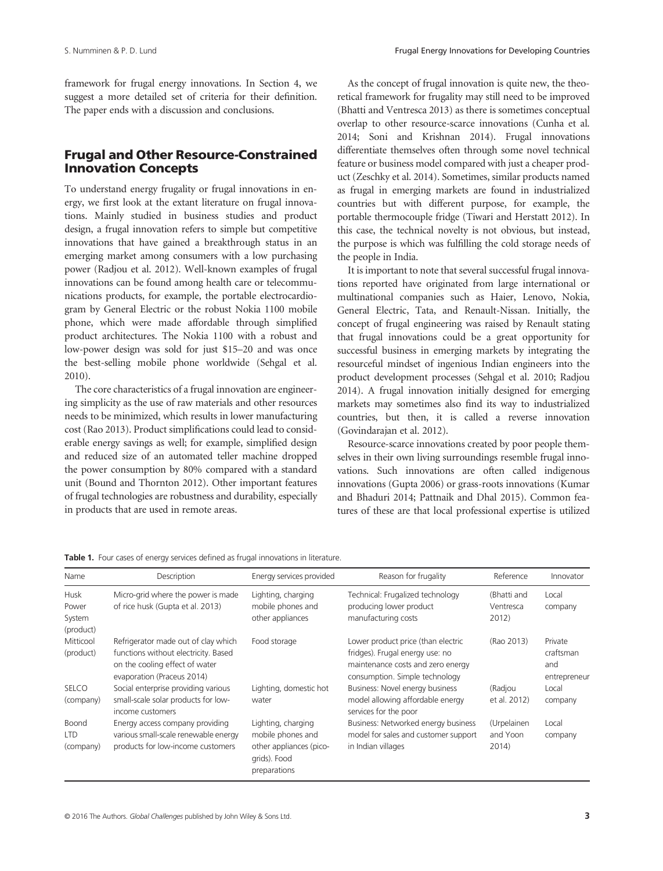framework for frugal energy innovations. In Section 4, we suggest a more detailed set of criteria for their definition. The paper ends with a discussion and conclusions.

# Frugal and Other Resource-Constrained Innovation Concepts

To understand energy frugality or frugal innovations in energy, we first look at the extant literature on frugal innovations. Mainly studied in business studies and product design, a frugal innovation refers to simple but competitive innovations that have gained a breakthrough status in an emerging market among consumers with a low purchasing power (Radjou et al. 2012). Well-known examples of frugal innovations can be found among health care or telecommunications products, for example, the portable electrocardiogram by General Electric or the robust Nokia 1100 mobile phone, which were made affordable through simplified product architectures. The Nokia 1100 with a robust and low-power design was sold for just \$15–20 and was once the best-selling mobile phone worldwide (Sehgal et al. 2010).

The core characteristics of a frugal innovation are engineering simplicity as the use of raw materials and other resources needs to be minimized, which results in lower manufacturing cost (Rao 2013). Product simplifications could lead to considerable energy savings as well; for example, simplified design and reduced size of an automated teller machine dropped the power consumption by 80% compared with a standard unit (Bound and Thornton 2012). Other important features of frugal technologies are robustness and durability, especially in products that are used in remote areas.

As the concept of frugal innovation is quite new, the theoretical framework for frugality may still need to be improved (Bhatti and Ventresca 2013) as there is sometimes conceptual overlap to other resource-scarce innovations (Cunha et al. 2014; Soni and Krishnan 2014). Frugal innovations differentiate themselves often through some novel technical feature or business model compared with just a cheaper product (Zeschky et al. 2014). Sometimes, similar products named as frugal in emerging markets are found in industrialized countries but with different purpose, for example, the portable thermocouple fridge (Tiwari and Herstatt 2012). In this case, the technical novelty is not obvious, but instead, the purpose is which was fulfilling the cold storage needs of the people in India.

It is important to note that several successful frugal innovations reported have originated from large international or multinational companies such as Haier, Lenovo, Nokia, General Electric, Tata, and Renault-Nissan. Initially, the concept of frugal engineering was raised by Renault stating that frugal innovations could be a great opportunity for successful business in emerging markets by integrating the resourceful mindset of ingenious Indian engineers into the product development processes (Sehgal et al. 2010; Radjou 2014). A frugal innovation initially designed for emerging markets may sometimes also find its way to industrialized countries, but then, it is called a reverse innovation (Govindarajan et al. 2012).

Resource-scarce innovations created by poor people themselves in their own living surroundings resemble frugal innovations. Such innovations are often called indigenous innovations (Gupta 2006) or grass-roots innovations (Kumar and Bhaduri 2014; Pattnaik and Dhal 2015). Common features of these are that local professional expertise is utilized

| Name                                        | Description                                                                                                                                 | Energy services provided                                                                           | Reason for frugality                                                                                                                         | Reference                         | Innovator                                   |
|---------------------------------------------|---------------------------------------------------------------------------------------------------------------------------------------------|----------------------------------------------------------------------------------------------------|----------------------------------------------------------------------------------------------------------------------------------------------|-----------------------------------|---------------------------------------------|
| <b>Husk</b><br>Power<br>System<br>(product) | Micro-grid where the power is made<br>of rice husk (Gupta et al. 2013)                                                                      | Lighting, charging<br>mobile phones and<br>other appliances                                        | Technical: Frugalized technology<br>producing lower product<br>manufacturing costs                                                           | (Bhatti and<br>Ventresca<br>2012) | Local<br>company                            |
| Mitticool<br>(product)                      | Refrigerator made out of clay which<br>functions without electricity. Based<br>on the cooling effect of water<br>evaporation (Praceus 2014) | Food storage                                                                                       | Lower product price (than electric<br>fridges). Frugal energy use: no<br>maintenance costs and zero energy<br>consumption. Simple technology | (Rao 2013)                        | Private<br>craftsman<br>and<br>entrepreneur |
| <b>SELCO</b><br>(company)                   | Social enterprise providing various<br>small-scale solar products for low-<br>income customers                                              | Lighting, domestic hot<br>water                                                                    | Business: Novel energy business<br>model allowing affordable energy<br>services for the poor                                                 | (Radjou<br>et al. 2012)           | Local<br>company                            |
| Boond<br><b>LTD</b><br>(company)            | Energy access company providing<br>various small-scale renewable energy<br>products for low-income customers                                | Lighting, charging<br>mobile phones and<br>other appliances (pico-<br>grids). Food<br>preparations | Business: Networked energy business<br>model for sales and customer support<br>in Indian villages                                            | (Urpelainen<br>and Yoon<br>2014)  | Local<br>company                            |

Table 1. Four cases of energy services defined as frugal innovations in literature.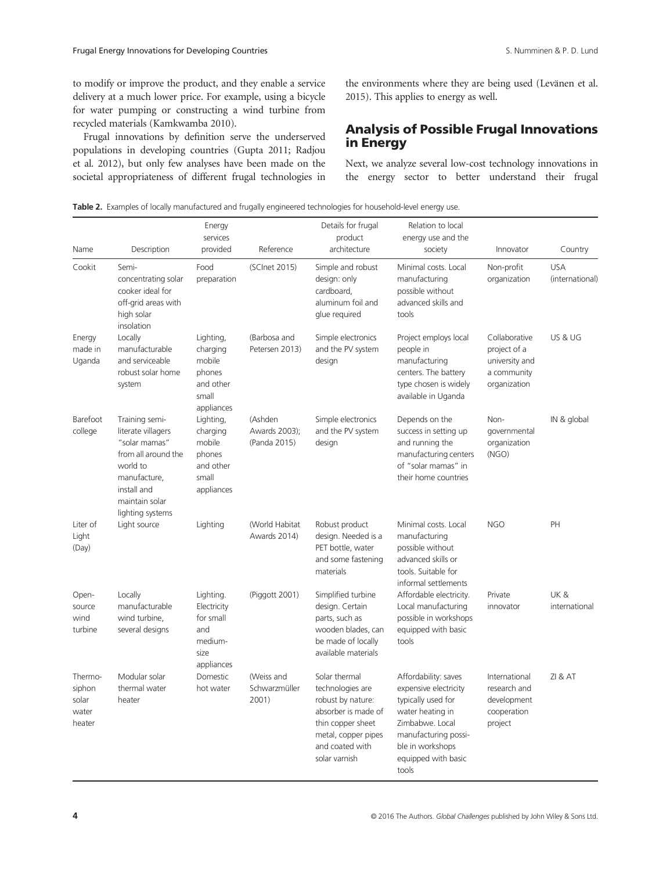to modify or improve the product, and they enable a service delivery at a much lower price. For example, using a bicycle for water pumping or constructing a wind turbine from recycled materials (Kamkwamba 2010).

Frugal innovations by definition serve the underserved populations in developing countries (Gupta 2011; Radjou et al. 2012), but only few analyses have been made on the societal appropriateness of different frugal technologies in the environments where they are being used (Levänen et al. 2015). This applies to energy as well.

## Analysis of Possible Frugal Innovations in Energy

Next, we analyze several low-cost technology innovations in the energy sector to better understand their frugal

| Name                                          | Description                                                                                                                                                   | Energy<br>services<br>provided                                                | Reference                                | Details for frugal<br>product<br>architecture                                                                                                                 | Relation to local<br>energy use and the<br>society                                                                                                                                     | Innovator                                                                      | Country                         |
|-----------------------------------------------|---------------------------------------------------------------------------------------------------------------------------------------------------------------|-------------------------------------------------------------------------------|------------------------------------------|---------------------------------------------------------------------------------------------------------------------------------------------------------------|----------------------------------------------------------------------------------------------------------------------------------------------------------------------------------------|--------------------------------------------------------------------------------|---------------------------------|
| Cookit                                        | Semi-<br>concentrating solar<br>cooker ideal for<br>off-grid areas with<br>high solar<br>insolation                                                           | Food<br>preparation                                                           | (SCInet 2015)                            | Simple and robust<br>design: only<br>cardboard,<br>aluminum foil and<br>glue required                                                                         | Minimal costs. Local<br>manufacturing<br>possible without<br>advanced skills and<br>tools                                                                                              | Non-profit<br>organization                                                     | <b>USA</b><br>(international)   |
| Energy<br>made in<br>Uganda                   | Locally<br>manufacturable<br>and serviceable<br>robust solar home<br>system                                                                                   | Lighting,<br>charging<br>mobile<br>phones<br>and other<br>small<br>appliances | (Barbosa and<br>Petersen 2013)           | Simple electronics<br>and the PV system<br>design                                                                                                             | Project employs local<br>people in<br>manufacturing<br>centers. The battery<br>type chosen is widely<br>available in Uganda                                                            | Collaborative<br>project of a<br>university and<br>a community<br>organization | US & UG                         |
| Barefoot<br>college                           | Training semi-<br>literate villagers<br>"solar mamas"<br>from all around the<br>world to<br>manufacture,<br>install and<br>maintain solar<br>lighting systems | Lighting,<br>charging<br>mobile<br>phones<br>and other<br>small<br>appliances | (Ashden<br>Awards 2003);<br>(Panda 2015) | Simple electronics<br>and the PV system<br>design                                                                                                             | Depends on the<br>success in setting up<br>and running the<br>manufacturing centers<br>of "solar mamas" in<br>their home countries                                                     | Non-<br>governmental<br>organization<br>(NGO)                                  | IN & global                     |
| Liter of<br>Light<br>(Day)                    | Light source                                                                                                                                                  | Lighting                                                                      | (World Habitat<br>Awards 2014)           | Robust product<br>design. Needed is a<br>PET bottle, water<br>and some fastening<br>materials                                                                 | Minimal costs. Local<br>manufacturing<br>possible without<br>advanced skills or<br>tools. Suitable for<br>informal settlements                                                         | <b>NGO</b>                                                                     | PH                              |
| Open-<br>source<br>wind<br>turbine            | Locally<br>manufacturable<br>wind turbine,<br>several designs                                                                                                 | Lighting.<br>Electricity<br>for small<br>and<br>medium-<br>size<br>appliances | (Piggott 2001)                           | Simplified turbine<br>design. Certain<br>parts, such as<br>wooden blades, can<br>be made of locally<br>available materials                                    | Affordable electricity.<br>Local manufacturing<br>possible in workshops<br>equipped with basic<br>tools                                                                                | Private<br>innovator                                                           | <b>UK&amp;</b><br>international |
| Thermo-<br>siphon<br>solar<br>water<br>heater | Modular solar<br>thermal water<br>heater                                                                                                                      | Domestic<br>hot water                                                         | (Weiss and<br>Schwarzmüller<br>2001)     | Solar thermal<br>technologies are<br>robust by nature:<br>absorber is made of<br>thin copper sheet<br>metal, copper pipes<br>and coated with<br>solar varnish | Affordability: saves<br>expensive electricity<br>typically used for<br>water heating in<br>Zimbabwe, Local<br>manufacturing possi-<br>ble in workshops<br>equipped with basic<br>tools | International<br>research and<br>development<br>cooperation<br>project         | <b>ZI &amp; AT</b>              |

Table 2. Examples of locally manufactured and frugally engineered technologies for household-level energy use.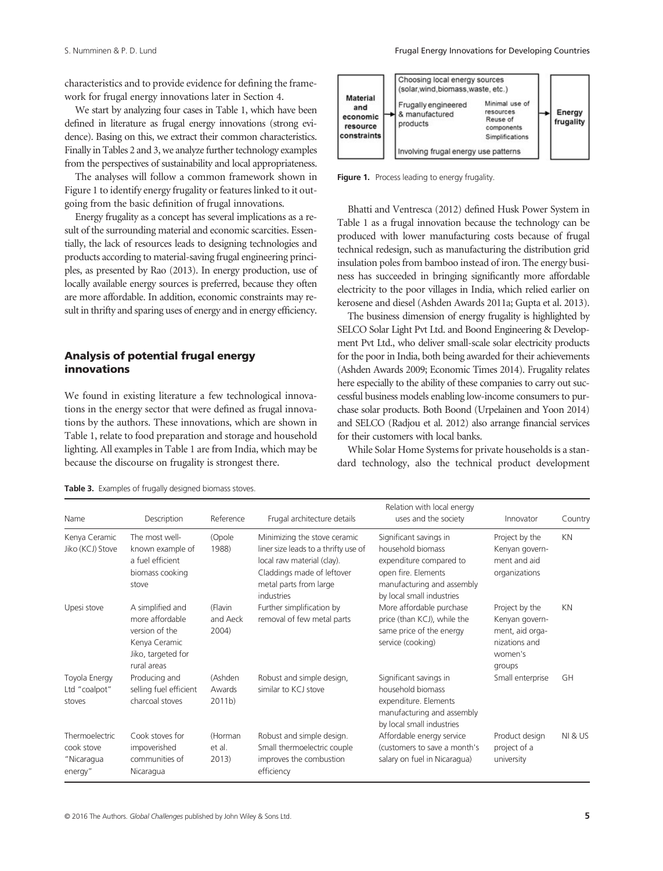characteristics and to provide evidence for defining the framework for frugal energy innovations later in Section 4.

We start by analyzing four cases in Table 1, which have been defined in literature as frugal energy innovations (strong evidence). Basing on this, we extract their common characteristics. Finally in Tables 2 and 3, we analyze further technology examples from the perspectives of sustainability and local appropriateness.

The analyses will follow a common framework shown in Figure 1 to identify energy frugality or features linked to it outgoing from the basic definition of frugal innovations.

Energy frugality as a concept has several implications as a result of the surrounding material and economic scarcities. Essentially, the lack of resources leads to designing technologies and products according to material-saving frugal engineering principles, as presented by Rao (2013). In energy production, use of locally available energy sources is preferred, because they often are more affordable. In addition, economic constraints may result in thrifty and sparing uses of energy and in energy efficiency.

#### Analysis of potential frugal energy innovations

We found in existing literature a few technological innovations in the energy sector that were defined as frugal innovations by the authors. These innovations, which are shown in Table 1, relate to food preparation and storage and household lighting. All examples in Table 1 are from India, which may be because the discourse on frugality is strongest there.



Figure 1. Process leading to energy frugality.

Bhatti and Ventresca (2012) defined Husk Power System in Table 1 as a frugal innovation because the technology can be produced with lower manufacturing costs because of frugal technical redesign, such as manufacturing the distribution grid insulation poles from bamboo instead of iron. The energy business has succeeded in bringing significantly more affordable electricity to the poor villages in India, which relied earlier on kerosene and diesel (Ashden Awards 2011a; Gupta et al. 2013).

The business dimension of energy frugality is highlighted by SELCO Solar Light Pvt Ltd. and Boond Engineering & Development Pvt Ltd., who deliver small-scale solar electricity products for the poor in India, both being awarded for their achievements (Ashden Awards 2009; Economic Times 2014). Frugality relates here especially to the ability of these companies to carry out successful business models enabling low-income consumers to purchase solar products. Both Boond (Urpelainen and Yoon 2014) and SELCO (Radjou et al. 2012) also arrange financial services for their customers with local banks.

While Solar Home Systems for private households is a standard technology, also the technical product development

Table 3. Examples of frugally designed biomass stoves.

| Name                                                  | Description                                                                                                 | Reference                              | Frugal architecture details                                                                                                                                              | Relation with local energy<br>uses and the society                                                                                                       | Innovator                                                                                 | Country            |
|-------------------------------------------------------|-------------------------------------------------------------------------------------------------------------|----------------------------------------|--------------------------------------------------------------------------------------------------------------------------------------------------------------------------|----------------------------------------------------------------------------------------------------------------------------------------------------------|-------------------------------------------------------------------------------------------|--------------------|
| Kenya Ceramic<br>Jiko (KCJ) Stove                     | The most well-<br>known example of<br>a fuel efficient<br>biomass cooking<br>stove                          | (Opole<br>1988)                        | Minimizing the stove ceramic<br>liner size leads to a thrifty use of<br>local raw material (clay).<br>Claddings made of leftover<br>metal parts from large<br>industries | Significant savings in<br>household biomass<br>expenditure compared to<br>open fire. Elements<br>manufacturing and assembly<br>by local small industries | Project by the<br>Kenyan govern-<br>ment and aid<br>organizations                         | KN                 |
| Upesi stove                                           | A simplified and<br>more affordable<br>version of the<br>Kenya Ceramic<br>Jiko, targeted for<br>rural areas | (Flavin<br>and Aeck<br>2004)           | Further simplification by<br>removal of few metal parts                                                                                                                  | More affordable purchase<br>price (than KCJ), while the<br>same price of the energy<br>service (cooking)                                                 | Project by the<br>Kenyan govern-<br>ment, aid orga-<br>nizations and<br>women's<br>groups | KN                 |
| Toyola Energy<br>Ltd "coalpot"<br>stoves              | Producing and<br>selling fuel efficient<br>charcoal stoves                                                  | (Ashden<br>Awards<br>2011 <sub>b</sub> | Robust and simple design,<br>similar to KCJ stove                                                                                                                        | Significant savings in<br>household biomass<br>expenditure. Elements<br>manufacturing and assembly<br>by local small industries                          | Small enterprise                                                                          | GH                 |
| Thermoelectric<br>cook stove<br>"Nicaragua<br>energy" | Cook stoves for<br>impoverished<br>communities of<br>Nicaragua                                              | (Horman<br>et al.<br>2013)             | Robust and simple design.<br>Small thermoelectric couple<br>improves the combustion<br>efficiency                                                                        | Affordable energy service<br>(customers to save a month's<br>salary on fuel in Nicaragua)                                                                | Product design<br>project of a<br>university                                              | <b>NI &amp; US</b> |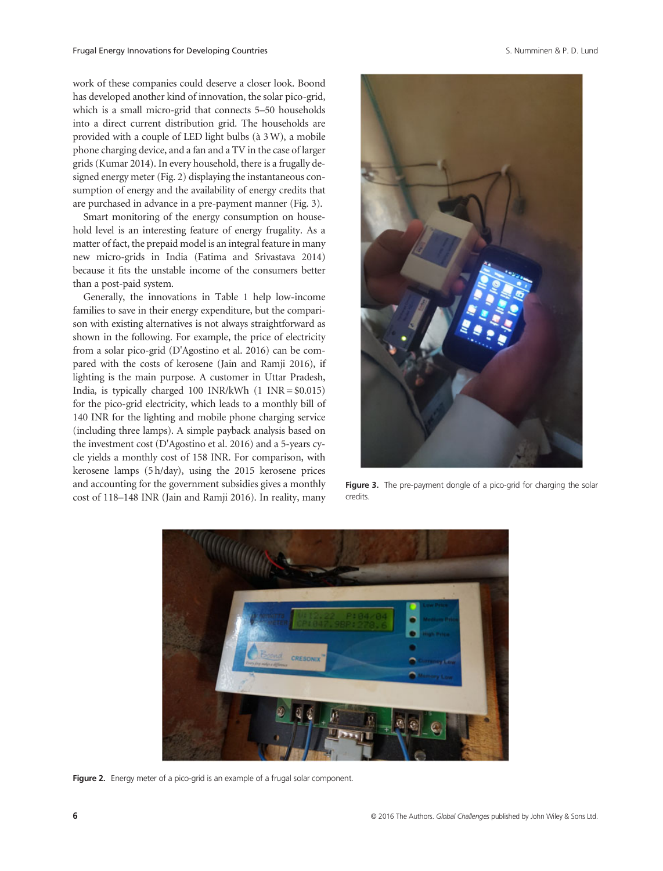work of these companies could deserve a closer look. Boond has developed another kind of innovation, the solar pico-grid, which is a small micro-grid that connects 5–50 households into a direct current distribution grid. The households are provided with a couple of LED light bulbs (à 3W), a mobile phone charging device, and a fan and a TV in the case of larger grids (Kumar 2014). In every household, there is a frugally designed energy meter (Fig. 2) displaying the instantaneous consumption of energy and the availability of energy credits that are purchased in advance in a pre-payment manner (Fig. 3).

Smart monitoring of the energy consumption on household level is an interesting feature of energy frugality. As a matter of fact, the prepaid model is an integral feature in many new micro-grids in India (Fatima and Srivastava 2014) because it fits the unstable income of the consumers better than a post-paid system.

Generally, the innovations in Table 1 help low-income families to save in their energy expenditure, but the comparison with existing alternatives is not always straightforward as shown in the following. For example, the price of electricity from a solar pico-grid (D'Agostino et al. 2016) can be compared with the costs of kerosene (Jain and Ramji 2016), if lighting is the main purpose. A customer in Uttar Pradesh, India, is typically charged 100 INR/kWh  $(1 \text{INR} = $0.015)$ for the pico-grid electricity, which leads to a monthly bill of 140 INR for the lighting and mobile phone charging service (including three lamps). A simple payback analysis based on the investment cost (D'Agostino et al. 2016) and a 5-years cycle yields a monthly cost of 158 INR. For comparison, with kerosene lamps (5 h/day), using the 2015 kerosene prices and accounting for the government subsidies gives a monthly cost of 118–148 INR (Jain and Ramji 2016). In reality, many



Figure 3. The pre-payment dongle of a pico-grid for charging the solar credits.



Figure 2. Energy meter of a pico-grid is an example of a frugal solar component.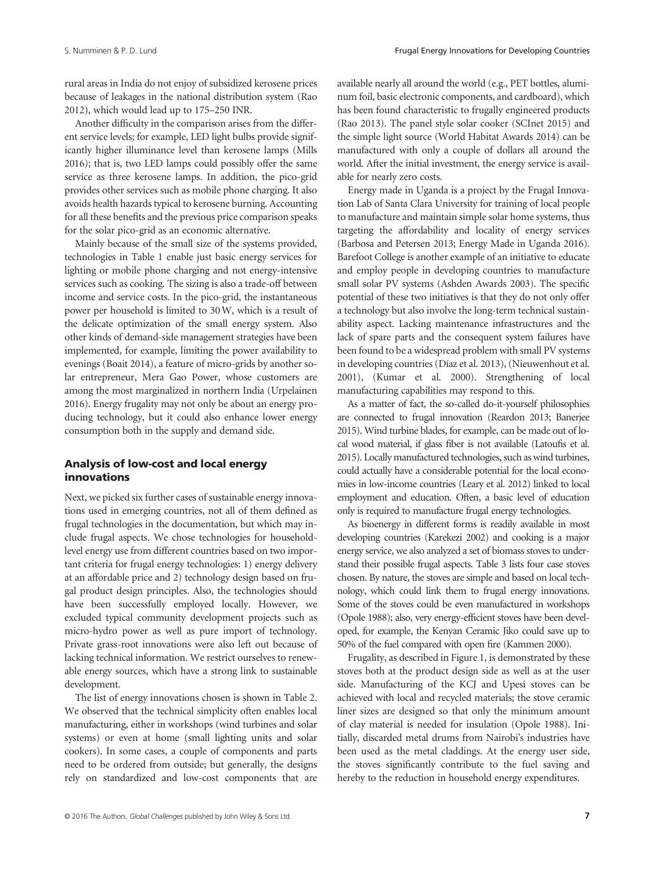rural areas in India do not enjoy of subsidized kerosene prices because of leakages in the national distribution system (Rao 2012), which would lead up to 175–250 INR.

Another difficulty in the comparison arises from the different service levels; for example, LED light bulbs provide significantly higher illuminance level than kerosene lamps (Mills 2016); that is, two LED lamps could possibly offer the same service as three kerosene lamps. In addition, the pico-grid provides other services such as mobile phone charging. It also avoids health hazards typical to kerosene burning. Accounting for all these benefits and the previous price comparison speaks for the solar pico-grid as an economic alternative.

Mainly because of the small size of the systems provided, technologies in Table 1 enable just basic energy services for lighting or mobile phone charging and not energy-intensive services such as cooking. The sizing is also a trade-off between income and service costs. In the pico-grid, the instantaneous power per household is limited to 30W, which is a result of the delicate optimization of the small energy system. Also other kinds of demand-side management strategies have been implemented, for example, limiting the power availability to evenings (Boait 2014), a feature of micro-grids by another solar entrepreneur, Mera Gao Power, whose customers are among the most marginalized in northern India (Urpelainen 2016). Energy frugality may not only be about an energy producing technology, but it could also enhance lower energy consumption both in the supply and demand side.

#### Analysis of low-cost and local energy innovations

Next, we picked six further cases of sustainable energy innovations used in emerging countries, not all of them defined as frugal technologies in the documentation, but which may include frugal aspects. We chose technologies for householdlevel energy use from different countries based on two important criteria for frugal energy technologies: 1) energy delivery at an affordable price and 2) technology design based on frugal product design principles. Also, the technologies should have been successfully employed locally. However, we excluded typical community development projects such as micro-hydro power as well as pure import of technology. Private grass-root innovations were also left out because of lacking technical information. We restrict ourselves to renewable energy sources, which have a strong link to sustainable development.

The list of energy innovations chosen is shown in Table 2. We observed that the technical simplicity often enables local manufacturing, either in workshops (wind turbines and solar systems) or even at home (small lighting units and solar cookers). In some cases, a couple of components and parts need to be ordered from outside; but generally, the designs rely on standardized and low-cost components that are

available nearly all around the world (e.g., PET bottles, aluminum foil, basic electronic components, and cardboard), which has been found characteristic to frugally engineered products (Rao 2013). The panel style solar cooker (SCInet 2015) and the simple light source (World Habitat Awards 2014) can be manufactured with only a couple of dollars all around the world. After the initial investment, the energy service is available for nearly zero costs.

Energy made in Uganda is a project by the Frugal Innovation Lab of Santa Clara University for training of local people to manufacture and maintain simple solar home systems, thus targeting the affordability and locality of energy services (Barbosa and Petersen 2013; Energy Made in Uganda 2016). Barefoot College is another example of an initiative to educate and employ people in developing countries to manufacture small solar PV systems (Ashden Awards 2003). The specific potential of these two initiatives is that they do not only offer a technology but also involve the long-term technical sustainability aspect. Lacking maintenance infrastructures and the lack of spare parts and the consequent system failures have been found to be a widespread problem with small PV systems in developing countries (Díaz et al. 2013), (Nieuwenhout et al. 2001), (Kumar et al. 2000). Strengthening of local manufacturing capabilities may respond to this.

As a matter of fact, the so-called do-it-yourself philosophies are connected to frugal innovation (Reardon 2013; Banerjee 2015). Wind turbine blades, for example, can be made out of local wood material, if glass fiber is not available (Latoufis et al. 2015). Locally manufactured technologies, such as wind turbines, could actually have a considerable potential for the local economies in low-income countries (Leary et al. 2012) linked to local employment and education. Often, a basic level of education only is required to manufacture frugal energy technologies.

As bioenergy in different forms is readily available in most developing countries (Karekezi 2002) and cooking is a major energy service, we also analyzed a set of biomass stoves to understand their possible frugal aspects. Table 3 lists four case stoves chosen. By nature, the stoves are simple and based on local technology, which could link them to frugal energy innovations. Some of the stoves could be even manufactured in workshops (Opole 1988); also, very energy-efficient stoves have been developed, for example, the Kenyan Ceramic Jiko could save up to 50% of the fuel compared with open fire (Kammen 2000).

Frugality, as described in Figure 1, is demonstrated by these stoves both at the product design side as well as at the user side. Manufacturing of the KCJ and Upesi stoves can be achieved with local and recycled materials; the stove ceramic liner sizes are designed so that only the minimum amount of clay material is needed for insulation (Opole 1988). Initially, discarded metal drums from Nairobi's industries have been used as the metal claddings. At the energy user side, the stoves significantly contribute to the fuel saving and hereby to the reduction in household energy expenditures.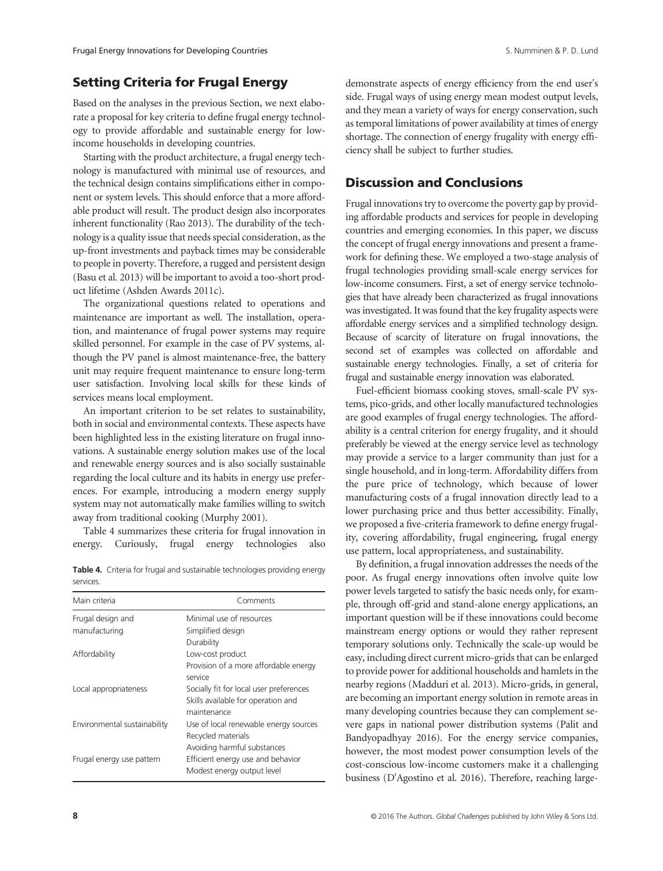### Setting Criteria for Frugal Energy

Based on the analyses in the previous Section, we next elaborate a proposal for key criteria to define frugal energy technology to provide affordable and sustainable energy for lowincome households in developing countries.

Starting with the product architecture, a frugal energy technology is manufactured with minimal use of resources, and the technical design contains simplifications either in component or system levels. This should enforce that a more affordable product will result. The product design also incorporates inherent functionality (Rao 2013). The durability of the technology is a quality issue that needs special consideration, as the up-front investments and payback times may be considerable to people in poverty. Therefore, a rugged and persistent design (Basu et al. 2013) will be important to avoid a too-short product lifetime (Ashden Awards 2011c).

The organizational questions related to operations and maintenance are important as well. The installation, operation, and maintenance of frugal power systems may require skilled personnel. For example in the case of PV systems, although the PV panel is almost maintenance-free, the battery unit may require frequent maintenance to ensure long-term user satisfaction. Involving local skills for these kinds of services means local employment.

An important criterion to be set relates to sustainability, both in social and environmental contexts. These aspects have been highlighted less in the existing literature on frugal innovations. A sustainable energy solution makes use of the local and renewable energy sources and is also socially sustainable regarding the local culture and its habits in energy use preferences. For example, introducing a modern energy supply system may not automatically make families willing to switch away from traditional cooking (Murphy 2001).

Table 4 summarizes these criteria for frugal innovation in energy. Curiously, frugal energy technologies also

Table 4. Criteria for frugal and sustainable technologies providing energy services.

| Comments                                |
|-----------------------------------------|
| Minimal use of resources                |
| Simplified design                       |
| Durability                              |
| Low-cost product                        |
| Provision of a more affordable energy   |
| service                                 |
| Socially fit for local user preferences |
| Skills available for operation and      |
| maintenance                             |
| Use of local renewable energy sources   |
| Recycled materials                      |
| Avoiding harmful substances             |
| Efficient energy use and behavior       |
| Modest energy output level              |
|                                         |

demonstrate aspects of energy efficiency from the end user's side. Frugal ways of using energy mean modest output levels, and they mean a variety of ways for energy conservation, such as temporal limitations of power availability at times of energy shortage. The connection of energy frugality with energy efficiency shall be subject to further studies.

# Discussion and Conclusions

Frugal innovations try to overcome the poverty gap by providing affordable products and services for people in developing countries and emerging economies. In this paper, we discuss the concept of frugal energy innovations and present a framework for defining these. We employed a two-stage analysis of frugal technologies providing small-scale energy services for low-income consumers. First, a set of energy service technologies that have already been characterized as frugal innovations was investigated. It was found that the key frugality aspects were affordable energy services and a simplified technology design. Because of scarcity of literature on frugal innovations, the second set of examples was collected on affordable and sustainable energy technologies. Finally, a set of criteria for frugal and sustainable energy innovation was elaborated.

Fuel-efficient biomass cooking stoves, small-scale PV systems, pico-grids, and other locally manufactured technologies are good examples of frugal energy technologies. The affordability is a central criterion for energy frugality, and it should preferably be viewed at the energy service level as technology may provide a service to a larger community than just for a single household, and in long-term. Affordability differs from the pure price of technology, which because of lower manufacturing costs of a frugal innovation directly lead to a lower purchasing price and thus better accessibility. Finally, we proposed a five-criteria framework to define energy frugality, covering affordability, frugal engineering, frugal energy use pattern, local appropriateness, and sustainability.

By definition, a frugal innovation addresses the needs of the poor. As frugal energy innovations often involve quite low power levels targeted to satisfy the basic needs only, for example, through off-grid and stand-alone energy applications, an important question will be if these innovations could become mainstream energy options or would they rather represent temporary solutions only. Technically the scale-up would be easy, including direct current micro-grids that can be enlarged to provide power for additional households and hamlets in the nearby regions (Madduri et al. 2013). Micro-grids, in general, are becoming an important energy solution in remote areas in many developing countries because they can complement severe gaps in national power distribution systems (Palit and Bandyopadhyay 2016). For the energy service companies, however, the most modest power consumption levels of the cost-conscious low-income customers make it a challenging business (D'Agostino et al. 2016). Therefore, reaching large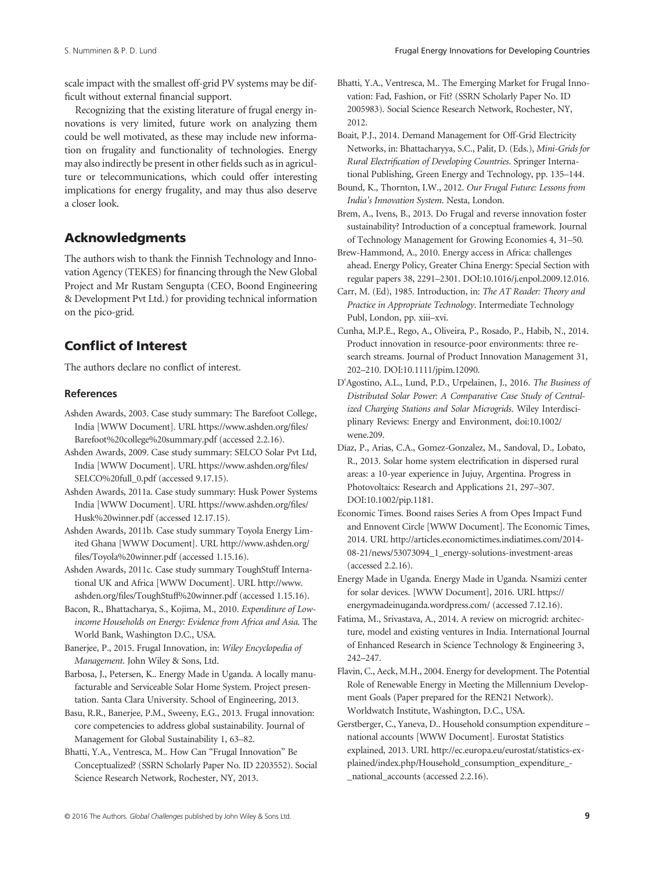scale impact with the smallest off-grid PV systems may be difficult without external financial support.

Recognizing that the existing literature of frugal energy innovations is very limited, future work on analyzing them could be well motivated, as these may include new information on frugality and functionality of technologies. Energy may also indirectly be present in other fields such as in agriculture or telecommunications, which could offer interesting implications for energy frugality, and may thus also deserve a closer look.

# Acknowledgments

The authors wish to thank the Finnish Technology and Innovation Agency (TEKES) for financing through the New Global Project and Mr Rustam Sengupta (CEO, Boond Engineering & Development Pvt Ltd.) for providing technical information on the pico-grid.

# Conflict of Interest

The authors declare no conflict of interest.

#### References

- Ashden Awards, 2003. Case study summary: The Barefoot College, India [WWW Document]. URL [https://www.ashden.org/](https://www.ashden.org/files/Barefoot%20college%20summary.pdf)files/ [Barefoot%20college%20summary.pdf](https://www.ashden.org/files/Barefoot%20college%20summary.pdf) (accessed 2.2.16).
- Ashden Awards, 2009. Case study summary: SELCO Solar Pvt Ltd, India [WWW Document]. URL [https://www.ashden.org/](https://www.ashden.org/files/SELCO%20full_0.pdf)files/ [SELCO%20full\\_0.pdf](https://www.ashden.org/files/SELCO%20full_0.pdf) (accessed 9.17.15).

Ashden Awards, 2011a. Case study summary: Husk Power Systems India [WWW Document]. URL [https://www.ashden.org/](https://www.ashden.org/files/Husk%20winner.pdf)files/ [Husk%20winner.pdf](https://www.ashden.org/files/Husk%20winner.pdf) (accessed 12.17.15).

- Ashden Awards, 2011b. Case study summary Toyola Energy Limited Ghana [WWW Document]. URL [http://www.ashden.org/](http://www.ashden.org/files/Toyola%20winner.pdf) fi[les/Toyola%20winner.pdf](http://www.ashden.org/files/Toyola%20winner.pdf) (accessed 1.15.16).
- Ashden Awards, 2011c. Case study summary ToughStuff International UK and Africa [WWW Document]. URL [http://www.](http://www.ashden.org/files/ToughStuff%20winner.pdf) ashden.org/fi[les/ToughStuff%20winner.pdf](http://www.ashden.org/files/ToughStuff%20winner.pdf) (accessed 1.15.16).

Bacon, R., Bhattacharya, S., Kojima, M., 2010. Expenditure of Lowincome Households on Energy: Evidence from Africa and Asia. The World Bank, Washington D.C., USA.

Banerjee, P., 2015. Frugal Innovation, in: Wiley Encyclopedia of Management. John Wiley & Sons, Ltd.

- Barbosa, J., Petersen, K.. Energy Made in Uganda. A locally manufacturable and Serviceable Solar Home System. Project presentation. Santa Clara University. School of Engineering, 2013.
- Basu, R.R., Banerjee, P.M., Sweeny, E.G., 2013. Frugal innovation: core competencies to address global sustainability. Journal of Management for Global Sustainability 1, 63–82.

Bhatti, Y.A., Ventresca, M.. How Can "Frugal Innovation" Be Conceptualized? (SSRN Scholarly Paper No. ID 2203552). Social Science Research Network, Rochester, NY, 2013.

Bhatti, Y.A., Ventresca, M.. The Emerging Market for Frugal Innovation: Fad, Fashion, or Fit? (SSRN Scholarly Paper No. ID 2005983). Social Science Research Network, Rochester, NY, 2012.

Boait, P.J., 2014. Demand Management for Off-Grid Electricity Networks, in: Bhattacharyya, S.C., Palit, D. (Eds.), Mini-Grids for Rural Electrification of Developing Countries. Springer International Publishing, Green Energy and Technology, pp. 135–144.

- Bound, K., Thornton, I.W., 2012. Our Frugal Future: Lessons from India's Innovation System. Nesta, London.
- Brem, A., Ivens, B., 2013. Do Frugal and reverse innovation foster sustainability? Introduction of a conceptual framework. Journal of Technology Management for Growing Economies 4, 31–50.
- Brew-Hammond, A., 2010. Energy access in Africa: challenges ahead. Energy Policy, Greater China Energy: Special Section with regular papers 38, 2291–2301. DOI[:10.1016/j.enpol.2009.12.016.](http://dx.doi.org/10.1016/j.enpol.2009.12.016)
- Carr, M. (Ed), 1985. Introduction, in: The AT Reader: Theory and Practice in Appropriate Technology. Intermediate Technology Publ, London, pp. xiii–xvi.
- Cunha, M.P.E., Rego, A., Oliveira, P., Rosado, P., Habib, N., 2014. Product innovation in resource-poor environments: three research streams. Journal of Product Innovation Management 31, 202–210. DOI[:10.1111/jpim.12090.](http://dx.doi.org/10.1111/jpim.12090)
- D'Agostino, A.L., Lund, P.D., Urpelainen, J., 2016. The Business of Distributed Solar Power: A Comparative Case Study of Centralized Charging Stations and Solar Microgrids. Wiley Interdisciplinary Reviews: Energy and Environment, doi:[10.1002/](http://dx.doi.org/10.1002/wene.209) [wene.209.](http://dx.doi.org/10.1002/wene.209)
- Díaz, P., Arias, C.A., Gomez-Gonzalez, M., Sandoval, D., Lobato, R., 2013. Solar home system electrification in dispersed rural areas: a 10-year experience in Jujuy, Argentina. Progress in Photovoltaics: Research and Applications 21, 297–307. DOI[:10.1002/pip.1181.](http://dx.doi.org/10.1002/pip.1181)
- Economic Times. Boond raises Series A from Opes Impact Fund and Ennovent Circle [WWW Document]. The Economic Times, 2014. URL [http://articles.economictimes.indiatimes.com/2014-](http://articles.economictimes.indiatimes.com/2014-08-21/news/53073094_1_energy-solutions-investment-areas) [08-21/news/53073094\\_1\\_energy-solutions-investment-areas](http://articles.economictimes.indiatimes.com/2014-08-21/news/53073094_1_energy-solutions-investment-areas) (accessed 2.2.16).
- Energy Made in Uganda. Energy Made in Uganda. Nsamizi center for solar devices. [WWW Document], 2016. URL [https://](https://energymadeinuganda.wordpress.com) [energymadeinuganda.wordpress.com/](https://energymadeinuganda.wordpress.com) (accessed 7.12.16).
- Fatima, M., Srivastava, A., 2014. A review on microgrid: architecture, model and existing ventures in India. International Journal of Enhanced Research in Science Technology & Engineering 3, 242–247.
- Flavin, C., Aeck, M.H., 2004. Energy for development. The Potential Role of Renewable Energy in Meeting the Millennium Development Goals (Paper prepared for the REN21 Network). Worldwatch Institute, Washington, D.C., USA.
- Gerstberger, C., Yaneva, D.. Household consumption expenditure national accounts [WWW Document]. Eurostat Statistics explained, 2013. URL [http://ec.europa.eu/eurostat/statistics-ex](http://ec.europa.eu/eurostat/statistics-explained/index.php/Household_consumption_expenditure_-_national_accounts)[plained/index.php/Household\\_consumption\\_expenditure\\_-](http://ec.europa.eu/eurostat/statistics-explained/index.php/Household_consumption_expenditure_-_national_accounts) [\\_national\\_accounts](http://ec.europa.eu/eurostat/statistics-explained/index.php/Household_consumption_expenditure_-_national_accounts) (accessed 2.2.16).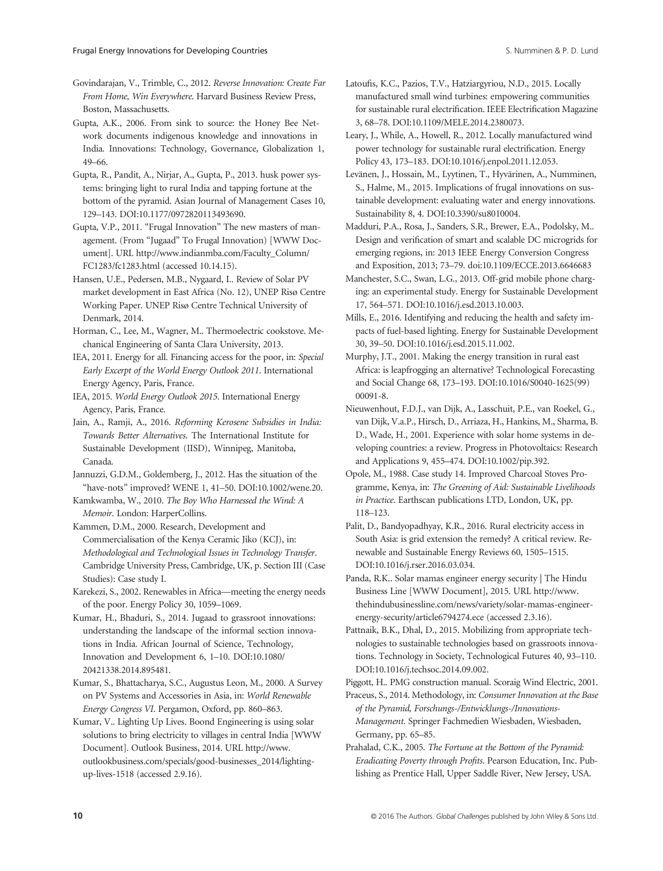Govindarajan, V., Trimble, C., 2012. Reverse Innovation: Create Far From Home, Win Everywhere. Harvard Business Review Press, Boston, Massachusetts.

Gupta, A.K., 2006. From sink to source: the Honey Bee Network documents indigenous knowledge and innovations in India. Innovations: Technology, Governance, Globalization 1, 49–66.

Gupta, R., Pandit, A., Nirjar, A., Gupta, P., 2013. husk power systems: bringing light to rural India and tapping fortune at the bottom of the pyramid. Asian Journal of Management Cases 10, 129–143. DOI:[10.1177/0972820113493690.](http://dx.doi.org/10.1177/0972820113493690)

Gupta, V.P., 2011. "Frugal Innovation" The new masters of management. (From "Jugaad" To Frugal Innovation) [WWW Document]. URL [http://www.indianmba.com/Faculty\\_Column/](http://www.indianmba.com/Faculty_Column/FC1283/fc1283.html) [FC1283/fc1283.html](http://www.indianmba.com/Faculty_Column/FC1283/fc1283.html) (accessed 10.14.15).

Hansen, U.E., Pedersen, M.B., Nygaard, I.. Review of Solar PV market development in East Africa (No. 12), UNEP Risø Centre Working Paper. UNEP Risø Centre Technical University of Denmark, 2014.

Horman, C., Lee, M., Wagner, M.. Thermoelectric cookstove. Mechanical Engineering of Santa Clara University, 2013.

IEA, 2011. Energy for all. Financing access for the poor, in: Special Early Excerpt of the World Energy Outlook 2011. International Energy Agency, Paris, France.

IEA, 2015. World Energy Outlook 2015. International Energy Agency, Paris, France.

Jain, A., Ramji, A., 2016. Reforming Kerosene Subsidies in India: Towards Better Alternatives. The International Institute for Sustainable Development (IISD), Winnipeg, Manitoba, Canada.

Jannuzzi, G.D.M., Goldemberg, J., 2012. Has the situation of the "have-nots" improved? WENE 1, 41–50. DOI[:10.1002/wene.20.](http://dx.doi.org/10.1002/wene.20)

Kamkwamba, W., 2010. The Boy Who Harnessed the Wind: A Memoir. London: HarperCollins.

Kammen, D.M., 2000. Research, Development and Commercialisation of the Kenya Ceramic Jiko (KCJ), in: Methodological and Technological Issues in Technology Transfer. Cambridge University Press, Cambridge, UK, p. Section III (Case Studies): Case study I.

Karekezi, S., 2002. Renewables in Africa—meeting the energy needs of the poor. Energy Policy 30, 1059–1069.

Kumar, H., Bhaduri, S., 2014. Jugaad to grassroot innovations: understanding the landscape of the informal section innovations in India. African Journal of Science, Technology, Innovation and Development 6, 1–10. DOI[:10.1080/](http://dx.doi.org/10.1080/20421338.2014.895481) [20421338.2014.895481.](http://dx.doi.org/10.1080/20421338.2014.895481)

Kumar, S., Bhattacharya, S.C., Augustus Leon, M., 2000. A Survey on PV Systems and Accessories in Asia, in: World Renewable Energy Congress VI. Pergamon, Oxford, pp. 860–863.

Kumar, V.. Lighting Up Lives. Boond Engineering is using solar solutions to bring electricity to villages in central India [WWW Document]. Outlook Business, 2014. URL [http://www.](http://www.outlookbusiness.com/specials/good-businesses_2014/lighting-up-lives-1518) [outlookbusiness.com/specials/good-businesses\\_2014/lighting](http://www.outlookbusiness.com/specials/good-businesses_2014/lighting-up-lives-1518)[up-lives-1518](http://www.outlookbusiness.com/specials/good-businesses_2014/lighting-up-lives-1518) (accessed 2.9.16).

Latoufis, K.C., Pazios, T.V., Hatziargyriou, N.D., 2015. Locally manufactured small wind turbines: empowering communities for sustainable rural electrification. IEEE Electrification Magazine 3, 68–78. DOI[:10.1109/MELE.2014.2380073.](http://dx.doi.org/10.1109/MELE.2014.2380073)

Leary, J., While, A., Howell, R., 2012. Locally manufactured wind power technology for sustainable rural electrification. Energy Policy 43, 173–183. DOI[:10.1016/j.enpol.2011.12.053.](http://dx.doi.org/10.1016/j.enpol.2011.12.053)

Levänen, J., Hossain, M., Lyytinen, T., Hyvärinen, A., Numminen, S., Halme, M., 2015. Implications of frugal innovations on sustainable development: evaluating water and energy innovations. Sustainability 8, 4. DOI:[10.3390/su8010004.](http://dx.doi.org/10.3390/su8010004)

Madduri, P.A., Rosa, J., Sanders, S.R., Brewer, E.A., Podolsky, M.. Design and verification of smart and scalable DC microgrids for emerging regions, in: 2013 IEEE Energy Conversion Congress and Exposition, 2013; 73–79. doi[:10.1109/ECCE.2013.6646683](http://dx.doi.org/10.1109/ECCE.2013.6646683)

Manchester, S.C., Swan, L.G., 2013. Off-grid mobile phone charging: an experimental study. Energy for Sustainable Development 17, 564–571. DOI[:10.1016/j.esd.2013.10.003.](http://dx.doi.org/10.1016/j.esd.2013.10.003)

Mills, E., 2016. Identifying and reducing the health and safety impacts of fuel-based lighting. Energy for Sustainable Development 30, 39–50. DOI[:10.1016/j.esd.2015.11.002.](http://dx.doi.org/10.1016/j.esd.2015.11.002)

Murphy, J.T., 2001. Making the energy transition in rural east Africa: is leapfrogging an alternative? Technological Forecasting and Social Change 68, 173–193. DOI[:10.1016/S0040-1625\(99\)](http://dx.doi.org/10.1016/S0040-1625(99)00091-8) [00091-8.](http://dx.doi.org/10.1016/S0040-1625(99)00091-8)

Nieuwenhout, F.D.J., van Dijk, A., Lasschuit, P.E., van Roekel, G., van Dijk, V.a.P., Hirsch, D., Arriaza, H., Hankins, M., Sharma, B. D., Wade, H., 2001. Experience with solar home systems in developing countries: a review. Progress in Photovoltaics: Research and Applications 9, 455–474. DOI:[10.1002/pip.392.](http://dx.doi.org/10.1002/pip.392)

Opole, M., 1988. Case study 14. Improved Charcoal Stoves Programme, Kenya, in: The Greening of Aid: Sustainable Livelihoods in Practice. Earthscan publications LTD, London, UK, pp. 118–123.

Palit, D., Bandyopadhyay, K.R., 2016. Rural electricity access in South Asia: is grid extension the remedy? A critical review. Renewable and Sustainable Energy Reviews 60, 1505–1515. DOI:[10.1016/j.rser.2016.03.034.](http://dx.doi.org/10.1016/j.rser.2016.03.034)

Panda, R.K.. Solar mamas engineer energy security | The Hindu Business Line [WWW Document], 2015. URL [http://www.](http://www.thehindubusinessline.com/news/variety/solar-mamas-engineer-energy-security/article6794274.ece) [thehindubusinessline.com/news/variety/solar-mamas-engineer](http://www.thehindubusinessline.com/news/variety/solar-mamas-engineer-energy-security/article6794274.ece)[energy-security/article6794274.ece](http://www.thehindubusinessline.com/news/variety/solar-mamas-engineer-energy-security/article6794274.ece) (accessed 2.3.16).

Pattnaik, B.K., Dhal, D., 2015. Mobilizing from appropriate technologies to sustainable technologies based on grassroots innovations. Technology in Society, Technological Futures 40, 93–110. DOI:[10.1016/j.techsoc.2014.09.002.](http://dx.doi.org/10.1016/j.techsoc.2014.09.002)

Piggott, H.. PMG construction manual. Scoraig Wind Electric, 2001.

Praceus, S., 2014. Methodology, in: Consumer Innovation at the Base of the Pyramid, Forschungs-/Entwicklungs-/Innovations-Management. Springer Fachmedien Wiesbaden, Wiesbaden, Germany, pp. 65–85.

Prahalad, C.K., 2005. The Fortune at the Bottom of the Pyramid: Eradicating Poverty through Profits. Pearson Education, Inc. Publishing as Prentice Hall, Upper Saddle River, New Jersey, USA.